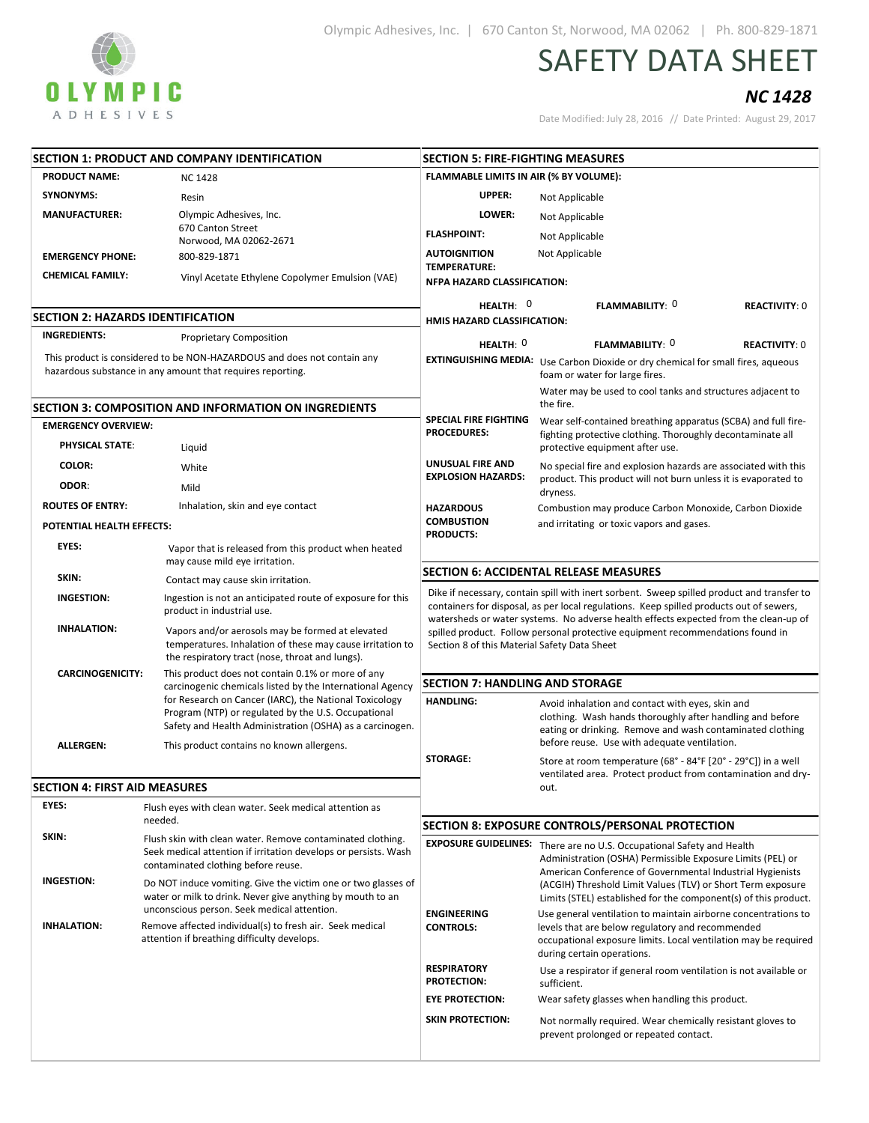

## SAFETY DATA SHEET

## NC 1428

Date Modified: July 28, 2016 // Date Printed: August 29, 2017

| SECTION 1: PRODUCT AND COMPANY IDENTIFICATION                                                                                             |                                                                                                                                                                            | <b>SECTION 5: FIRE-FIGHTING MEASURES</b>                                                                                                                                                                                                                                      |                                                                                                                                                                                                                     |  |
|-------------------------------------------------------------------------------------------------------------------------------------------|----------------------------------------------------------------------------------------------------------------------------------------------------------------------------|-------------------------------------------------------------------------------------------------------------------------------------------------------------------------------------------------------------------------------------------------------------------------------|---------------------------------------------------------------------------------------------------------------------------------------------------------------------------------------------------------------------|--|
| <b>PRODUCT NAME:</b><br><b>NC1428</b>                                                                                                     |                                                                                                                                                                            | FLAMMABLE LIMITS IN AIR (% BY VOLUME):                                                                                                                                                                                                                                        |                                                                                                                                                                                                                     |  |
| <b>SYNONYMS:</b>                                                                                                                          | Resin                                                                                                                                                                      | UPPER:                                                                                                                                                                                                                                                                        | Not Applicable                                                                                                                                                                                                      |  |
| <b>MANUFACTURER:</b>                                                                                                                      | Olympic Adhesives, Inc.                                                                                                                                                    | LOWER:                                                                                                                                                                                                                                                                        | Not Applicable                                                                                                                                                                                                      |  |
|                                                                                                                                           | 670 Canton Street<br>Norwood, MA 02062-2671                                                                                                                                | <b>FLASHPOINT:</b>                                                                                                                                                                                                                                                            | Not Applicable                                                                                                                                                                                                      |  |
| <b>EMERGENCY PHONE:</b>                                                                                                                   | 800-829-1871                                                                                                                                                               | <b>AUTOIGNITION</b>                                                                                                                                                                                                                                                           | Not Applicable                                                                                                                                                                                                      |  |
| <b>CHEMICAL FAMILY:</b>                                                                                                                   |                                                                                                                                                                            | <b>TEMPERATURE:</b>                                                                                                                                                                                                                                                           |                                                                                                                                                                                                                     |  |
|                                                                                                                                           | Vinyl Acetate Ethylene Copolymer Emulsion (VAE)                                                                                                                            | NFPA HAZARD CLASSIFICATION:                                                                                                                                                                                                                                                   |                                                                                                                                                                                                                     |  |
|                                                                                                                                           |                                                                                                                                                                            | HEALTH: $0$                                                                                                                                                                                                                                                                   | FLAMMABILITY: 0<br><b>REACTIVITY: 0</b>                                                                                                                                                                             |  |
| <b>SECTION 2: HAZARDS IDENTIFICATION</b>                                                                                                  |                                                                                                                                                                            | HMIS HAZARD CLASSIFICATION:                                                                                                                                                                                                                                                   |                                                                                                                                                                                                                     |  |
| <b>INGREDIENTS:</b>                                                                                                                       | <b>Proprietary Composition</b>                                                                                                                                             | HEALTH: $0$                                                                                                                                                                                                                                                                   | <b>FLAMMABILITY: 0</b><br><b>REACTIVITY: 0</b>                                                                                                                                                                      |  |
| This product is considered to be NON-HAZARDOUS and does not contain any<br>hazardous substance in any amount that requires reporting.     |                                                                                                                                                                            | <b>EXTINGUISHING MEDIA:</b>                                                                                                                                                                                                                                                   | Use Carbon Dioxide or dry chemical for small fires, aqueous<br>foam or water for large fires.                                                                                                                       |  |
|                                                                                                                                           | <b>SECTION 3: COMPOSITION AND INFORMATION ON INGREDIENTS</b>                                                                                                               |                                                                                                                                                                                                                                                                               | Water may be used to cool tanks and structures adjacent to<br>the fire.                                                                                                                                             |  |
| <b>EMERGENCY OVERVIEW:</b>                                                                                                                |                                                                                                                                                                            | <b>SPECIAL FIRE FIGHTING</b>                                                                                                                                                                                                                                                  | Wear self-contained breathing apparatus (SCBA) and full fire-                                                                                                                                                       |  |
| <b>PHYSICAL STATE:</b>                                                                                                                    | Liquid                                                                                                                                                                     | <b>PROCEDURES:</b>                                                                                                                                                                                                                                                            | fighting protective clothing. Thoroughly decontaminate all<br>protective equipment after use.                                                                                                                       |  |
| <b>COLOR:</b>                                                                                                                             | White                                                                                                                                                                      | <b>UNUSUAL FIRE AND</b>                                                                                                                                                                                                                                                       | No special fire and explosion hazards are associated with this                                                                                                                                                      |  |
| ODOR:                                                                                                                                     | Mild                                                                                                                                                                       | <b>EXPLOSION HAZARDS:</b>                                                                                                                                                                                                                                                     | product. This product will not burn unless it is evaporated to<br>dryness.                                                                                                                                          |  |
| <b>ROUTES OF ENTRY:</b>                                                                                                                   | Inhalation, skin and eye contact                                                                                                                                           | <b>HAZARDOUS</b>                                                                                                                                                                                                                                                              | Combustion may produce Carbon Monoxide, Carbon Dioxide                                                                                                                                                              |  |
| POTENTIAL HEALTH EFFECTS:                                                                                                                 |                                                                                                                                                                            | <b>COMBUSTION</b><br><b>PRODUCTS:</b>                                                                                                                                                                                                                                         | and irritating or toxic vapors and gases.                                                                                                                                                                           |  |
| EYES:                                                                                                                                     | Vapor that is released from this product when heated<br>may cause mild eye irritation.                                                                                     |                                                                                                                                                                                                                                                                               |                                                                                                                                                                                                                     |  |
| SKIN:                                                                                                                                     | Contact may cause skin irritation.                                                                                                                                         |                                                                                                                                                                                                                                                                               | <b>SECTION 6: ACCIDENTAL RELEASE MEASURES</b>                                                                                                                                                                       |  |
| <b>INGESTION:</b>                                                                                                                         | Ingestion is not an anticipated route of exposure for this<br>product in industrial use.                                                                                   | Dike if necessary, contain spill with inert sorbent. Sweep spilled product and transfer to<br>containers for disposal, as per local regulations. Keep spilled products out of sewers,<br>watersheds or water systems. No adverse health effects expected from the clean-up of |                                                                                                                                                                                                                     |  |
| <b>INHALATION:</b>                                                                                                                        | Vapors and/or aerosols may be formed at elevated<br>temperatures. Inhalation of these may cause irritation to<br>the respiratory tract (nose, throat and lungs).           | spilled product. Follow personal protective equipment recommendations found in<br>Section 8 of this Material Safety Data Sheet                                                                                                                                                |                                                                                                                                                                                                                     |  |
| <b>CARCINOGENICITY:</b><br>This product does not contain 0.1% or more of any<br>carcinogenic chemicals listed by the International Agency |                                                                                                                                                                            | <b>SECTION 7: HANDLING AND STORAGE</b>                                                                                                                                                                                                                                        |                                                                                                                                                                                                                     |  |
|                                                                                                                                           | for Research on Cancer (IARC), the National Toxicology<br>Program (NTP) or regulated by the U.S. Occupational<br>Safety and Health Administration (OSHA) as a carcinogen.  | <b>HANDLING:</b>                                                                                                                                                                                                                                                              | Avoid inhalation and contact with eyes, skin and<br>clothing. Wash hands thoroughly after handling and before<br>eating or drinking. Remove and wash contaminated clothing                                          |  |
| <b>ALLERGEN:</b>                                                                                                                          | This product contains no known allergens.                                                                                                                                  |                                                                                                                                                                                                                                                                               | before reuse. Use with adequate ventilation.                                                                                                                                                                        |  |
|                                                                                                                                           |                                                                                                                                                                            | <b>STORAGE:</b>                                                                                                                                                                                                                                                               | Store at room temperature (68° - 84°F [20° - 29°C]) in a well<br>ventilated area. Protect product from contamination and dry-                                                                                       |  |
| <b>SECTION 4: FIRST AID MEASURES</b>                                                                                                      |                                                                                                                                                                            |                                                                                                                                                                                                                                                                               | out.                                                                                                                                                                                                                |  |
| EYES:                                                                                                                                     | Flush eyes with clean water. Seek medical attention as                                                                                                                     |                                                                                                                                                                                                                                                                               |                                                                                                                                                                                                                     |  |
|                                                                                                                                           | needed.                                                                                                                                                                    |                                                                                                                                                                                                                                                                               | SECTION 8: EXPOSURE CONTROLS/PERSONAL PROTECTION                                                                                                                                                                    |  |
| SKIN:                                                                                                                                     | Flush skin with clean water. Remove contaminated clothing.<br>Seek medical attention if irritation develops or persists. Wash<br>contaminated clothing before reuse.       |                                                                                                                                                                                                                                                                               | EXPOSURE GUIDELINES: There are no U.S. Occupational Safety and Health<br>Administration (OSHA) Permissible Exposure Limits (PEL) or<br>American Conference of Governmental Industrial Hygienists                    |  |
| <b>INGESTION:</b>                                                                                                                         | Do NOT induce vomiting. Give the victim one or two glasses of<br>water or milk to drink. Never give anything by mouth to an<br>unconscious person. Seek medical attention. |                                                                                                                                                                                                                                                                               | (ACGIH) Threshold Limit Values (TLV) or Short Term exposure<br>Limits (STEL) established for the component(s) of this product.                                                                                      |  |
| <b>INHALATION:</b>                                                                                                                        | Remove affected individual(s) to fresh air. Seek medical<br>attention if breathing difficulty develops.                                                                    | <b>ENGINEERING</b><br><b>CONTROLS:</b>                                                                                                                                                                                                                                        | Use general ventilation to maintain airborne concentrations to<br>levels that are below regulatory and recommended<br>occupational exposure limits. Local ventilation may be required<br>during certain operations. |  |
|                                                                                                                                           |                                                                                                                                                                            | <b>RESPIRATORY</b><br><b>PROTECTION:</b>                                                                                                                                                                                                                                      | Use a respirator if general room ventilation is not available or<br>sufficient.                                                                                                                                     |  |
|                                                                                                                                           |                                                                                                                                                                            | <b>EYE PROTECTION:</b>                                                                                                                                                                                                                                                        | Wear safety glasses when handling this product.                                                                                                                                                                     |  |
|                                                                                                                                           |                                                                                                                                                                            | <b>SKIN PROTECTION:</b>                                                                                                                                                                                                                                                       | Not normally required. Wear chemically resistant gloves to<br>prevent prolonged or repeated contact.                                                                                                                |  |
|                                                                                                                                           |                                                                                                                                                                            |                                                                                                                                                                                                                                                                               |                                                                                                                                                                                                                     |  |